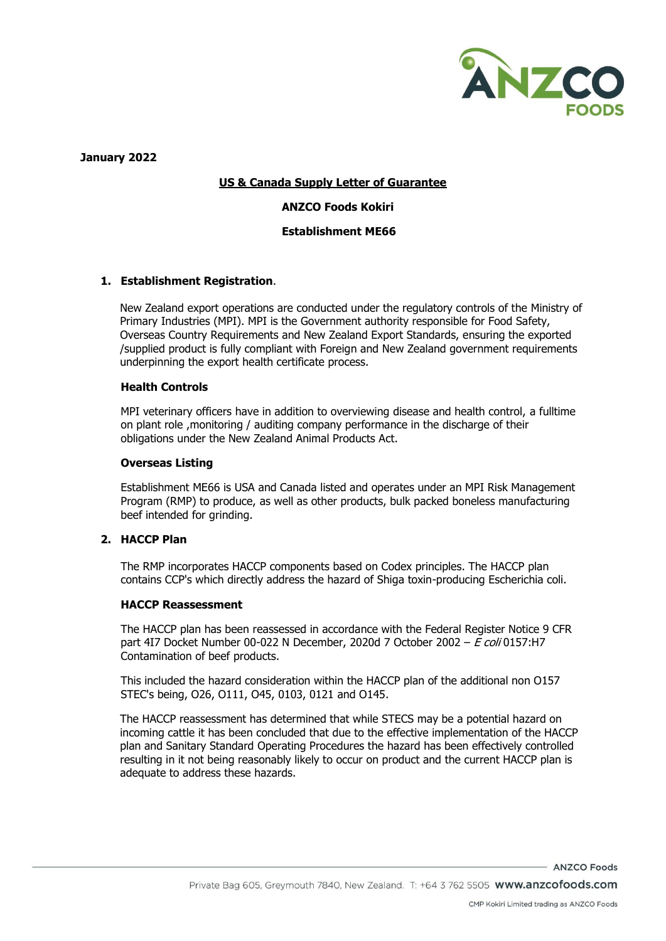

**January 2022**

# **US & Canada Supply Letter of Guarantee**

## **ANZCO Foods Kokiri**

## **Establishment ME66**

## **1. Establishment Registration**.

New Zealand export operations are conducted under the regulatory controls of the Ministry of Primary Industries (MPI). MPI is the Government authority responsible for Food Safety, Overseas Country Requirements and New Zealand Export Standards, ensuring the exported /supplied product is fully compliant with Foreign and New Zealand government requirements underpinning the export health certificate process.

## **Health Controls**

MPI veterinary officers have in addition to overviewing disease and health control, a fulltime on plant role ,monitoring / auditing company performance in the discharge of their obligations under the New Zealand Animal Products Act.

## **Overseas Listing**

Establishment ME66 is USA and Canada listed and operates under an MPI Risk Management Program (RMP) to produce, as well as other products, bulk packed boneless manufacturing beef intended for grinding.

# **2. HACCP Plan**

The RMP incorporates HACCP components based on Codex principles. The HACCP plan contains CCP's which directly address the hazard of Shiga toxin-producing Escherichia coli.

# **HACCP Reassessment**

The HACCP plan has been reassessed in accordance with the Federal Register Notice 9 CFR part 4I7 Docket Number 00-022 N December, 2020d 7 October 2002 – E coli 0157:H7 Contamination of beef products.

This included the hazard consideration within the HACCP plan of the additional non O157 STEC's being, O26, O111, O45, 0103, 0121 and O145.

The HACCP reassessment has determined that while STECS may be a potential hazard on incoming cattle it has been concluded that due to the effective implementation of the HACCP plan and Sanitary Standard Operating Procedures the hazard has been effectively controlled resulting in it not being reasonably likely to occur on product and the current HACCP plan is adequate to address these hazards.

ANZCO Foods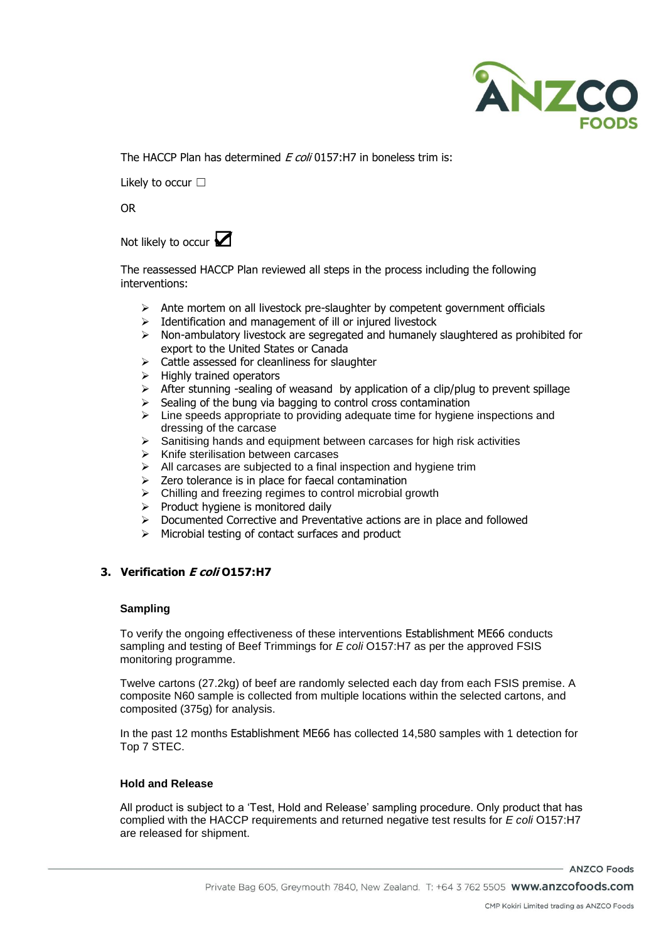

The HACCP Plan has determined  $F$  coli 0157:H7 in boneless trim is:

Likely to occur □

OR

Not likely to occur **☑** 

The reassessed HACCP Plan reviewed all steps in the process including the following interventions:

- $\triangleright$  Ante mortem on all livestock pre-slaughter by competent government officials
- ➢ Identification and management of ill or injured livestock
- $\triangleright$  Non-ambulatory livestock are segregated and humanely slaughtered as prohibited for export to the United States or Canada
- $\triangleright$  Cattle assessed for cleanliness for slaughter
- ➢ Highly trained operators
- $\triangleright$  After stunning -sealing of weasand by application of a clip/plug to prevent spillage
- $\geq$  Sealing of the bung via bagging to control cross contamination
- $\triangleright$  Line speeds appropriate to providing adequate time for hygiene inspections and dressing of the carcase
- ➢ Sanitising hands and equipment between carcases for high risk activities
- ➢ Knife sterilisation between carcases
- $\triangleright$  All carcases are subjected to a final inspection and hygiene trim
- $\geq$  Zero tolerance is in place for faecal contamination
- ➢ Chilling and freezing regimes to control microbial growth
- ➢ Product hygiene is monitored daily
- ➢ Documented Corrective and Preventative actions are in place and followed
- $\triangleright$  Microbial testing of contact surfaces and product

# **3. Verification E coli O157:H7**

#### **Sampling**

To verify the ongoing effectiveness of these interventions Establishment ME66 conducts sampling and testing of Beef Trimmings for *E coli* O157:H7 as per the approved FSIS monitoring programme.

Twelve cartons (27.2kg) of beef are randomly selected each day from each FSIS premise. A composite N60 sample is collected from multiple locations within the selected cartons, and composited (375g) for analysis.

In the past 12 months Establishment ME66 has collected 14,580 samples with 1 detection for Top 7 STEC.

#### **Hold and Release**

All product is subject to a 'Test, Hold and Release' sampling procedure. Only product that has complied with the HACCP requirements and returned negative test results for *E coli* O157:H7 are released for shipment.

- ANZCO Foods